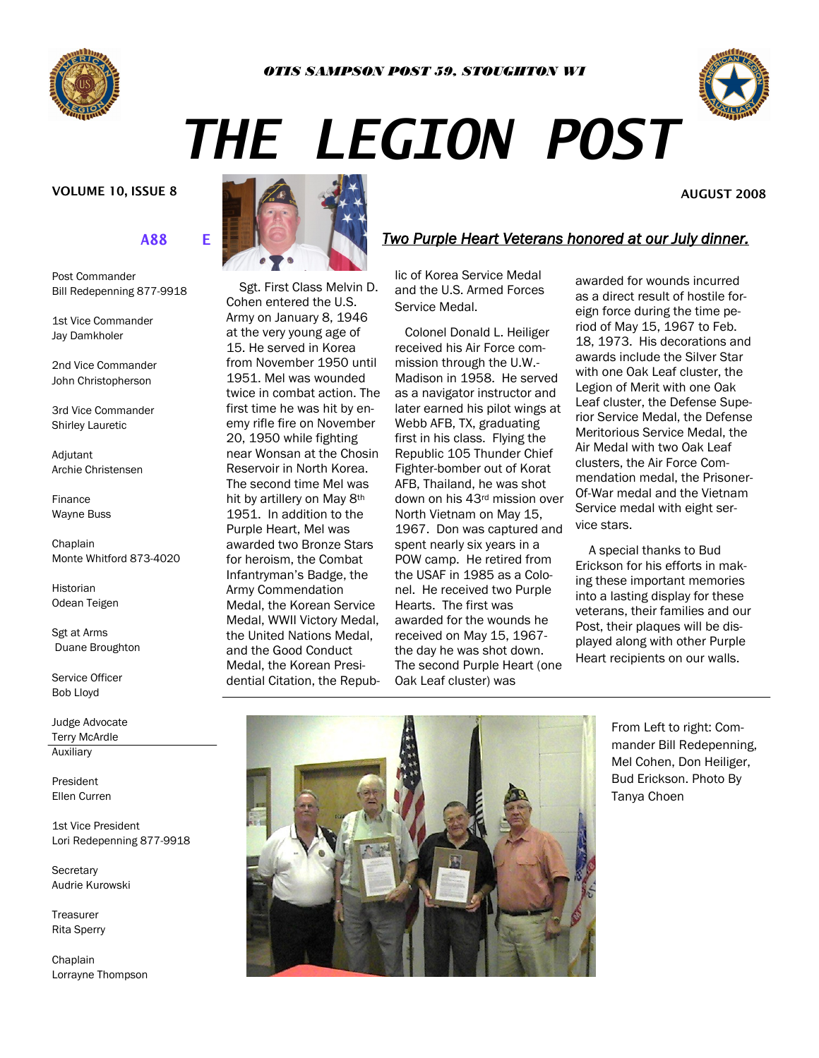



**AUGUST 2008** 

# *THE LEGION POST*

#### **VOLUME 10, ISSUE 8**

### **2008 2009 OFFICERS**

Post Commander Bill Redepenning 877-9918

1st Vice Commander Jay Damkholer

2nd Vice Commander John Christopherson

3rd Vice Commander Shirley Lauretic

Adjutant Archie Christensen

Finance Wayne Buss

**Chaplain** Monte Whitford 873-4020

Historian Odean Teigen

Sgt at Arms Duane Broughton

Service Officer Bob Lloyd

Judge Advocate Terry McArdle Auxiliary

President Ellen Curren

1st Vice President Lori Redepenning 877-9918

**Secretary** Audrie Kurowski

**Treasurer** Rita Sperry

**Chaplain** Lorrayne Thompson



 Sgt. First Class Melvin D. Cohen entered the U.S. Army on January 8, 1946 at the very young age of 15. He served in Korea from November 1950 until 1951. Mel was wounded twice in combat action. The first time he was hit by enemy rifle fire on November 20, 1950 while fighting near Wonsan at the Chosin Reservoir in North Korea. The second time Mel was hit by artillery on May 8th 1951. In addition to the Purple Heart, Mel was awarded two Bronze Stars for heroism, the Combat Infantryman's Badge, the Army Commendation Medal, the Korean Service Medal, WWII Victory Medal, the United Nations Medal, and the Good Conduct Medal, the Korean Presidential Citation, the Repub-

### *Two Purple Heart Veterans honored at our July dinner.*

lic of Korea Service Medal and the U.S. Armed Forces Service Medal.

 Colonel Donald L. Heiliger received his Air Force commission through the U.W.- Madison in 1958. He served as a navigator instructor and later earned his pilot wings at Webb AFB, TX, graduating first in his class. Flying the Republic 105 Thunder Chief Fighter-bomber out of Korat AFB, Thailand, he was shot down on his 43rd mission over North Vietnam on May 15, 1967. Don was captured and spent nearly six years in a POW camp. He retired from the USAF in 1985 as a Colonel. He received two Purple Hearts. The first was awarded for the wounds he received on May 15, 1967 the day he was shot down. The second Purple Heart (one Oak Leaf cluster) was

awarded for wounds incurred as a direct result of hostile foreign force during the time period of May 15, 1967 to Feb. 18, 1973. His decorations and awards include the Silver Star with one Oak Leaf cluster, the Legion of Merit with one Oak Leaf cluster, the Defense Superior Service Medal, the Defense Meritorious Service Medal, the Air Medal with two Oak Leaf clusters, the Air Force Commendation medal, the Prisoner-Of-War medal and the Vietnam Service medal with eight service stars.

 A special thanks to Bud Erickson for his efforts in making these important memories into a lasting display for these veterans, their families and our Post, their plaques will be displayed along with other Purple Heart recipients on our walls.



From Left to right: Commander Bill Redepenning, Mel Cohen, Don Heiliger, Bud Erickson. Photo By Tanya Choen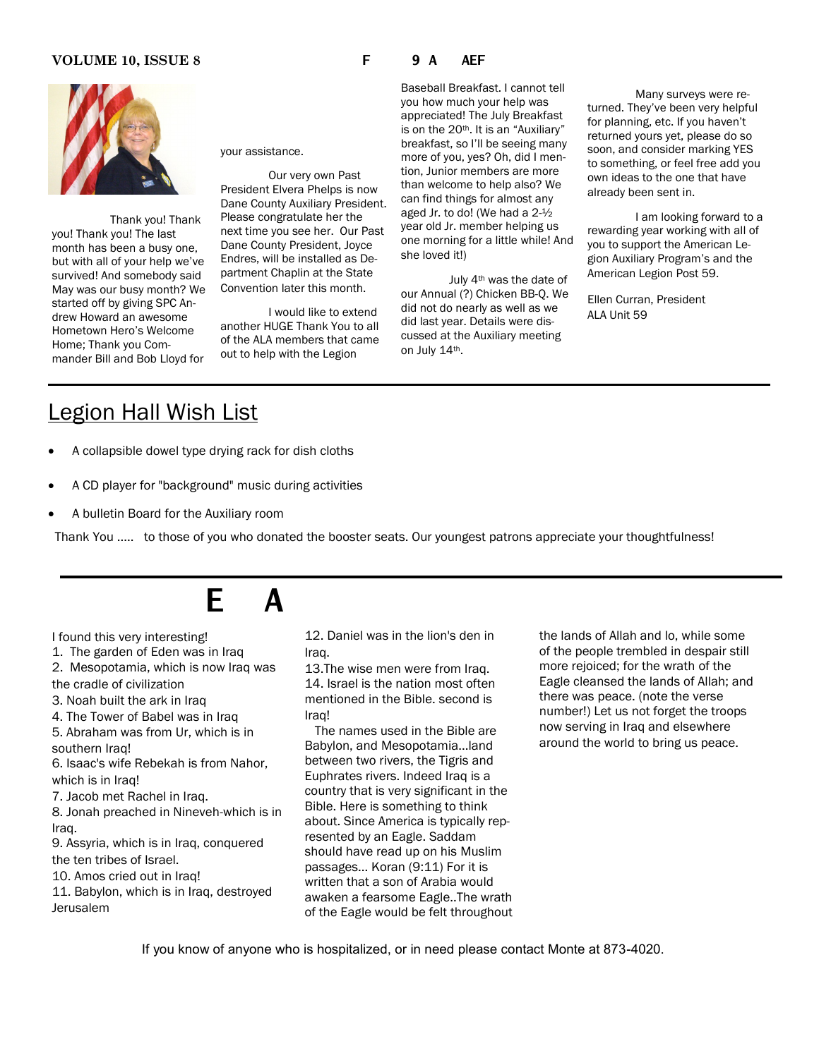#### **VOLUME 10, ISSUE 8 THE POSTAL POST PAGE ALL POST**

 Thank you! Thank you! Thank you! The last month has been a busy one, but with all of your help we've survived! And somebody said May was our busy month? We started off by giving SPC Andrew Howard an awesome Hometown Hero's Welcome Home; Thank you Commander Bill and Bob Lloyd for

your assistance.

Our very own Past President Elvera Phelps is now Dane County Auxiliary President. Please congratulate her the next time you see her. Our Past Dane County President, Joyce Endres, will be installed as Department Chaplin at the State Convention later this month.

I would like to extend another HUGE Thank You to all of the ALA members that came out to help with the Legion

Baseball Breakfast. I cannot tell you how much your help was appreciated! The July Breakfast is on the 20th. It is an "Auxiliary" breakfast, so I'll be seeing many more of you, yes? Oh, did I mention, Junior members are more than welcome to help also? We can find things for almost any aged Jr. to do! (We had a 2-½ year old Jr. member helping us one morning for a little while! And she loved it!)

July 4th was the date of our Annual (?) Chicken BB-Q. We did not do nearly as well as we did last year. Details were discussed at the Auxiliary meeting on July 14th.

Many surveys were returned. They've been very helpful for planning, etc. If you haven't returned yours yet, please do so soon, and consider marking YES to something, or feel free add you own ideas to the one that have already been sent in.

I am looking forward to a rewarding year working with all of you to support the American Legion Auxiliary Program's and the American Legion Post 59.

Ellen Curran, President ALA Unit 59

## Legion Hall Wish List

- A collapsible dowel type drying rack for dish cloths
- A CD player for "background" music during activities
- A bulletin Board for the Auxiliary room

Thank You ..... to those of you who donated the booster seats. Our youngest patrons appreciate your thoughtfulness!

# **CHAPLAINS CORPORATION**

I found this very interesting!

1. The garden of Eden was in Iraq

- 2. Mesopotamia, which is now Iraq was the cradle of civilization
- 3. Noah built the ark in Iraq
- 

4. The Tower of Babel was in Iraq 5. Abraham was from Ur, which is in southern Iraq!

6. Isaac's wife Rebekah is from Nahor, which is in Iraq!

7. Jacob met Rachel in Iraq.

8. Jonah preached in Nineveh-which is in Iraq.

9. Assyria, which is in Iraq, conquered the ten tribes of Israel.

10. Amos cried out in Iraq!

11. Babylon, which is in Iraq, destroyed Jerusalem

12. Daniel was in the lion's den in Iraq.

13.The wise men were from Iraq. 14. Israel is the nation most often mentioned in the Bible. second is Iraq!

 The names used in the Bible are Babylon, and Mesopotamia...land between two rivers, the Tigris and Euphrates rivers. Indeed Iraq is a country that is very significant in the Bible. Here is something to think about. Since America is typically represented by an Eagle. Saddam should have read up on his Muslim passages... Koran (9:11) For it is written that a son of Arabia would awaken a fearsome Eagle..The wrath of the Eagle would be felt throughout the lands of Allah and lo, while some of the people trembled in despair still more rejoiced; for the wrath of the Eagle cleansed the lands of Allah; and there was peace. (note the verse number!) Let us not forget the troops now serving in Iraq and elsewhere around the world to bring us peace.

If you know of anyone who is hospitalized, or in need please contact Monte at 873-4020.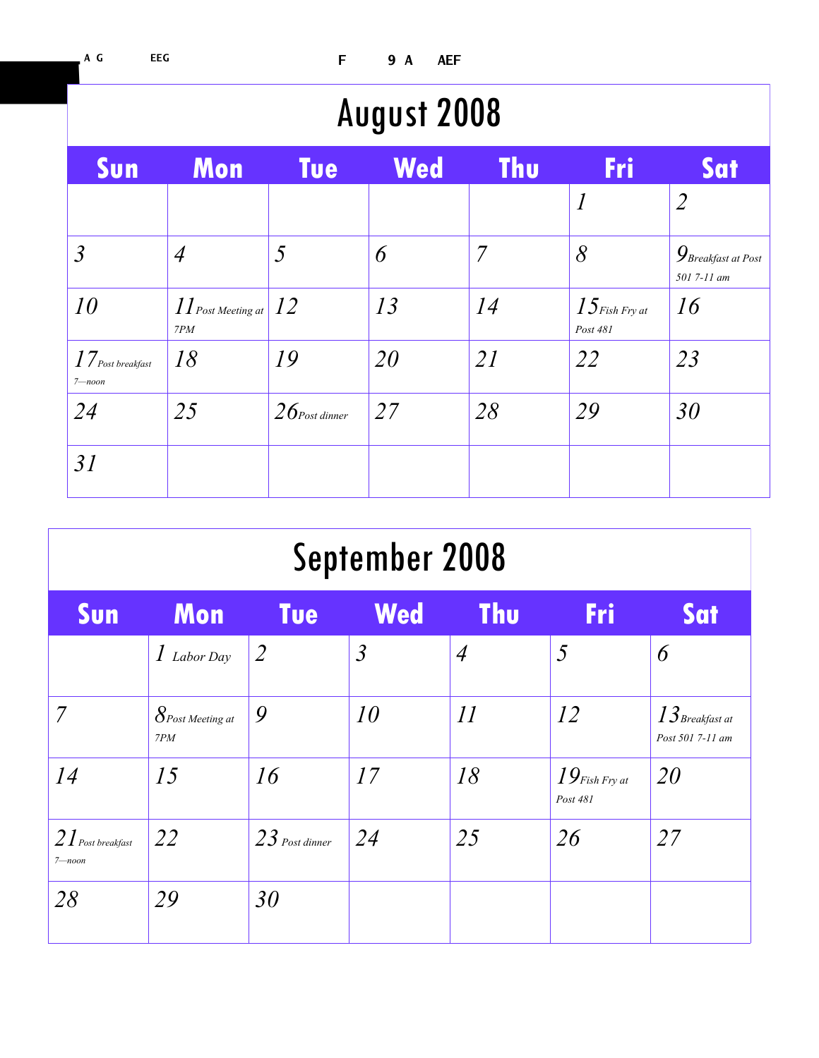| <b>August 2008</b>                                                      |                                                                                             |                  |     |                |                              |                                                         |  |  |  |  |
|-------------------------------------------------------------------------|---------------------------------------------------------------------------------------------|------------------|-----|----------------|------------------------------|---------------------------------------------------------|--|--|--|--|
| Sun                                                                     | Mon                                                                                         | <b>Tue</b>       | Wed | <b>Thu</b>     | Fri                          | Sat                                                     |  |  |  |  |
|                                                                         |                                                                                             |                  |     |                | $\boldsymbol{l}$             | $\overline{2}$                                          |  |  |  |  |
| $\mathfrak{Z}$                                                          | $\overline{A}$                                                                              | 5                | 6   | $\overline{7}$ | $\delta$                     | $\mathcal{G}_\textit{Breakfast at Post}$<br>501 7-11 am |  |  |  |  |
| 10                                                                      | $\left  \int\int_{\textit{Post Meeting at }}\right  \left  \int_{\textit{2}}\right $<br>7PM |                  | 13  | 14             | $15$ Fish Fry at<br>Post 481 | 16                                                      |  |  |  |  |
| $17_{\scriptscriptstyle{Post\,break br\acute{e}a kfast}}$<br>$7 - noon$ | 18                                                                                          | 19               | 20  | 21             | 22                           | 23                                                      |  |  |  |  |
| 24                                                                      | 25                                                                                          | $26$ Post dinner | 27  | 28             | 29                           | 30                                                      |  |  |  |  |
| 31                                                                      |                                                                                             |                  |     |                |                              |                                                         |  |  |  |  |

| September 2008                   |                            |                  |                |                 |                              |                                       |  |  |  |  |
|----------------------------------|----------------------------|------------------|----------------|-----------------|------------------------------|---------------------------------------|--|--|--|--|
| Sun                              | Mon                        | <b>Tue</b>       | <b>Wed</b>     | <b>Thu</b>      | Fri                          | Sat                                   |  |  |  |  |
|                                  | $\int$ Labor Day           | $\overline{2}$   | $\mathfrak{Z}$ | $\overline{A}$  | 5                            | 6                                     |  |  |  |  |
| $\overline{7}$                   | $8$ Post Meeting at<br>7PM | 9                | 10             | $\overline{11}$ | 12                           | $13$ Breakfast at<br>Post 501 7-11 am |  |  |  |  |
| 14                               | 15                         | 16               | 17             | 18              | $19$ Fish Fry at<br>Post 481 | 20                                    |  |  |  |  |
| $2I$ Post breakfast<br>$7$ —noon | 22                         | $23$ Post dinner | 24             | 25              | 26                           | 27                                    |  |  |  |  |
| 28                               | 29                         | 30               |                |                 |                              |                                       |  |  |  |  |